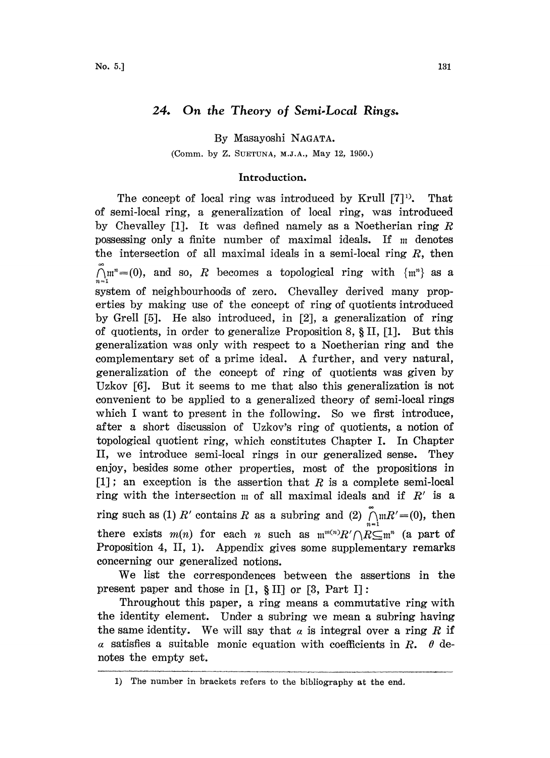# 24. On the Theory of Semi-Local Rings.

By Masayoshi NAGATA.

(Comm. by Z. SUETUNA, M.J.A., May 12, 1950.)

## Introduction.

The concept of local ring was introduced by Krull  $[7]^1$ . That of semi-local ring, a generalization of local ring, was introduced by Chevalley [1]. It was defined namely as a Noetherian ring  $R$ possessing only a finite number of maximal ideals. If  $m$  denotes the intersection of all maximal ideals in a semi-local ring  $R$ , then  $\tilde{\bigcap}$ m<sup>n</sup>=(0), and so, R becomes a topological ring with  $\{m^n\}$  as a system of neighbourhoods of zero. Chevalley derived many properties by making use of the concept of ring of quotients introduced by Grell [5]. He also introduced, in [2], a generalization of ring of quotients, in order to generalize Proposition 8,  $\S$  II, [1]. But this generalization was only wth respect to <sup>a</sup> Noetherian ring and he complementary set of <sup>a</sup> prime ideal. A further, and very natural, generalization of the concept of ring of quotients was given by Uzkov  $[6]$ . But it seems to me that also this generalization is not convenient to be applied to a generalized theory of semi-local rings which I want to present in the following. So we first introduce, after <sup>a</sup> short discussion of Uzkov's ring of quotients, <sup>a</sup> notion o topological quotient rng, which constitutes Chapter I. In Chapter II, we introduce semi-local rings in our generalized sense. They enjoy, besides some other properties, most of the propositions in  $[1]$ ; an exception is the assertion that R is a complete semi-local ring with the intersection  $m$  of all maximal ideals and if  $R'$  is a ring such as (1) R' contains R as a subring and (2)  $\prod_{n=1}^{\infty} mR' = (0)$ , then there exists  $m(n)$  for each n such as  $m^{m(n)}R'/R \subseteq m^n$  (a part of Proposition 4, II, 1). Appendix gives some supplementary remarks concerning our generalized notions.

We list the correspondences between the assertions in the present paper and those in  $[1, \S \text{ II}]$  or  $[3, \text{ Part } I]$ :

Throughout this paper, a ring means a commutative ring with the identity element. Under a subring we mean a subring having the same identity. We will say that  $\alpha$  is integral over a ring R if a satisfies a suitable monic equation with coefficients in  $R$ .  $\theta$  denotes the empty set.

<sup>1)</sup> The number in brackets refers to the bibliography at the end.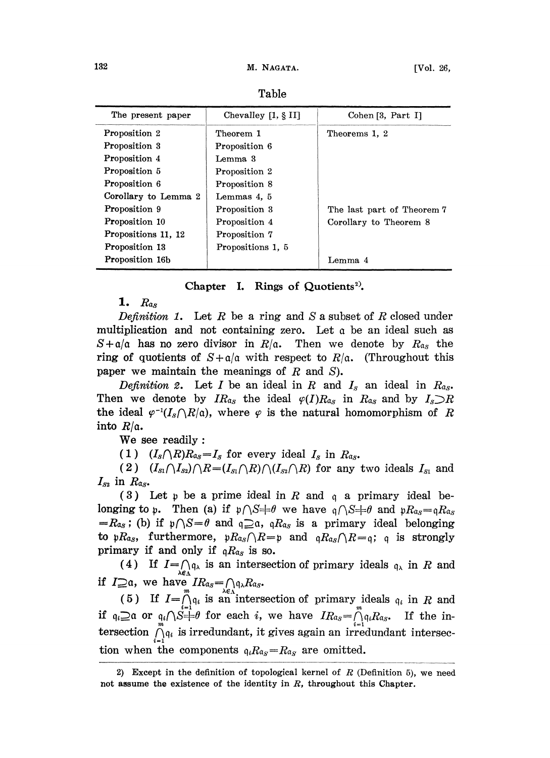| The present paper    | Chevalley [1, § II] | Cohen [3, Part I]          |
|----------------------|---------------------|----------------------------|
| Proposition 2        | Theorem 1           | Theorems 1, 2              |
| Proposition 3        | Proposition 6       |                            |
| Proposition 4        | Lemma 3             |                            |
| Proposition 5        | Proposition 2       |                            |
| Proposition 6        | Proposition 8       |                            |
| Corollary to Lemma 2 | Lemmas 4, 5         |                            |
| Proposition 9        | Proposition 3       | The last part of Theorem 7 |
| Proposition 10       | Proposition 4       | Corollary to Theorem 8     |
| Propositions 11, 12  | Proposition 7       |                            |
| Proposition 13       | Propositions 1, 5   |                            |
| Proposition 16b      |                     | Lemma 4                    |

Table

Chapter I. Rings of Quotients<sup>2)</sup>.

1.  $R_{as}$ 

Definition 1. Let R be a ring and S a subset of R closed under multiplication and not containing zero. Let a be an ideal such as  $S+a/a$  has no zero divisor in  $R/a$ . Then we denote by  $R_{a,s}$  the ring of quotients of  $S + a/a$  with respect to  $R/a$ . (Throughout this paper we maintain the meanings of  $R$  and  $S$ ).

Definition 2. Let I be an ideal in R and  $I_s$  an ideal in  $R_{as}$ . Then we denote by  $IR_{\alpha_S}$  the ideal  $\varphi(I)R_{\alpha_S}$  in  $R_{\alpha_S}$  and by  $I_s\supset R$ the ideal  $\varphi^{-1}(I_s\cap R/\mathfrak{a})$ , where  $\varphi$  is the natural homomorphism of R into  $R/a$ .

We see readily:

(1)  $(I_s \cap R)R_{\alpha} = I_s$  for every ideal  $I_s$  in  $R_{\alpha}$ .

(2)  $(I_{s_1}\bigcap I_{s_2})\bigcap R=(I_{s_1}\bigcap R)\bigcap (I_{s_2}\bigcap R)$  for any two ideals  $I_{s_1}$  and  $I_{S2}$  in  $R_{\alpha_S}$ .

(3) Let  $\mathfrak p$  be a prime ideal in R and  $\mathfrak q$  a primary ideal belonging to p. Then (a) if  $p \cap S = \theta$  we have  $q \cap S = \theta$  and  $pR_{as} = qR_{as}$  $=R_{\alpha_S}$ ; (b) if  $p\cap S=d$  and  $q\supseteq a$ ,  $qR_{\alpha_S}$  is a primary ideal belonging to  $pR_{\alpha_S}$ , furthermore,  $pR_{\alpha_S} \cap R=p$  and  $qR_{\alpha_S} \cap R=q$ ; q is strongly primary if and only if  $qR_{\alpha_S}$  is so.

(4) If  $I=\bigcap_{\lambda \in \Lambda} q_{\lambda}$  is an intersection of primary ideals  $q_{\lambda}$  in R and if  $I \supseteq a$ , we have

(5) If  $I=\bigcap_{i=1}^m q_i$  is an intersection of primary ideals  $q_i$  in R and (5) If  $I = \bigcap_{i=1}^{m} q_i$  is an intersection of primary ideals  $q_i$  in R and<br>if  $q_i \supseteq a$  or  $q_i / S = \theta$  for each i, we have  $IR_{a_S} = \bigcap_{i=1}^{m} q_i R_{a_S}$ . If the init  $q_i \geq a$  or  $q_i / \sum_{i=1}^{m} \theta_i$  for each *i*, we have  $IR_{a_S} = \bigcap_{i=1}^{m} q_i R_{a_S}$ . If the intersection  $\bigcap_{i=1}^{m} q_i$  is irredundant, it gives again an irredundant intersection when the components  $q_i R_{\alpha_S}=R_{\alpha_S}$  are omitted.

<sup>2)</sup> Except in the definition of topological kernel of  $R$  (Definition 5), we need not assume the existence of the identity in R, throughout this Chapter.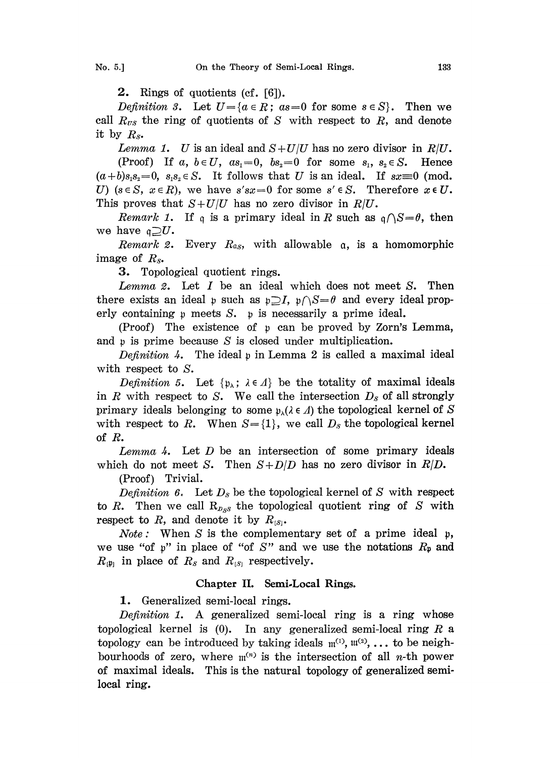2. Rings of quotients (cf. [6]).

Definition 3. Let  $U = \{a \in R : a s = 0 \text{ for some } s \in S\}$ . Then we call  $R_{\text{rs}}$  the ring of quotients of S with respect to R, and denote it by  $R_s$ .

Lemma 1. U is an ideal and  $S+U/U$  has no zero divisor in  $R/U$ .

(Proof) If a,  $b \in U$ ,  $as_1=0$ ,  $bs_2=0$  for some  $s_1, s_2 \in S$ . Hence  $(a+b)s_1s_2=0$ ,  $s_1s_2 \in S$ . It follows that U is an ideal. If  $sx=0$  (mod. U) ( $s \in S$ ,  $x \in R$ ), we have  $s'sx=0$  for some  $s' \in S$ . Therefore  $x \in U$ . This proves that  $S+U/U$  has no zero divisor in  $R/U$ .

*Remark 1*. If q is a primary ideal in R such as  $q \bigcap S = \theta$ , then we have  $\mathfrak{q} \supseteq U$ .

*Remark 2.* Every  $R_{as}$ , with allowable  $\alpha$ , is a homomorphic image of  $R_s$ .

3. Topological quotient rings.

Lemma 2. Let  $I$  be an ideal which does not meet  $S$ . Then there exists an ideal  $\mathfrak{p}$  such as  $\mathfrak{p}\supseteq I$ ,  $\mathfrak{p}\cap S=\theta$  and every ideal properly containing  $p$  meets  $S$ .  $p$  is necessarily a prime ideal.

(Proof) The existence of <sup>p</sup> can be proved by Zorn's Lemma, and p is prime because S is closed under multiplication.

Definition 4. The ideal  $\mathfrak p$  in Lemma 2 is called a maximal ideal with respect to S.

Definition 5. Let  $\{p_{\lambda}; \lambda \in \Lambda\}$  be the totality of maximal ideals in R with respect to S. We call the intersection  $D_s$  of all strongly primary ideals belonging to some  $p_{\lambda}(\lambda \in \Lambda)$  the topological kernel of S with respect to R. When  $S = \{1\}$ , we call  $D_s$  the topological kernel of  $R$ .

Lemma 4. Let  $D$  be an intersection of some primary ideals which do not meet S. Then  $S+D/D$  has no zero divisor in  $R/D$ .

(Proof) Trivial.

Definition 6. Let  $D_s$  be the topological kernel of S with respect to R. Then we call  $R_{D,ss}$  the topological quotient ring of S with respect to R, and denote it by  $R_{[s]}$ .

*Note*: When S is the complementary set of a prime ideal  $\mathfrak{p}$ , we use "of p" in place of "of S" and we use the notations  $R_p$  and  $R_{\mathfrak{p}_1}$  in place of  $R_s$  and  $R_{\mathfrak{p}_1}$  respectively.

# Chapter II. Semi.Local Rings.

1. Generalized semi-local rings.

Definition 1. A generalized semi-local ring is a ring whose topological kernel is  $(0)$ . In any generalized semi-local ring R a topology can be introduced by taking ideals  $\mathfrak{m}^{(1)}$ ,  $\mathfrak{m}^{(2)}$ , ... to be neighbourhoods of zero, where  $\mathfrak{m}^{(n)}$  is the intersection of all *n*-th power of maximal ideals. This is the natural topology of generalized semilocal ring.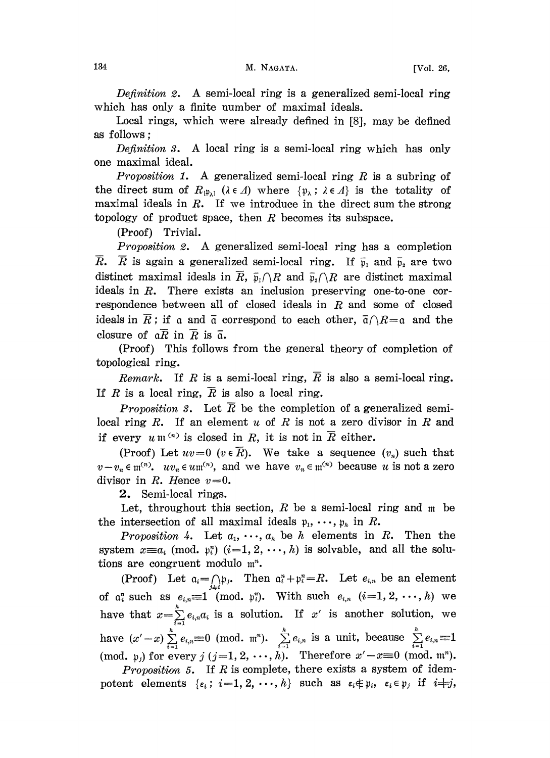Definition 2. A semi-local ring is a generalized semi-local ring which has only a finite number of maximal ideals.

Local rings, which were already defined in [8], may be defined as follows

Definition 3. A local ring is a semi-local ring which has only one maximal ideal.

*Proposition 1.* A generalized semi-local ring  $R$  is a subring of the direct sum of  $R_{(\mathfrak{p}_{\lambda})}$  ( $\lambda \in \Lambda$ ) where  $\{\mathfrak{p}_{\lambda} : \lambda \in \Lambda\}$  is the totality of maximal ideals in  $R$ . If we introduce in the direct sum the strong topology of product space, then  $R$  becomes its subspace.

(Proof) Trivial.

Proposition 2. A generalized semi-local ring has <sup>a</sup> completion  $\overline{R}$ .  $\overline{R}$  is again a generalized semi-local ring. If  $\overline{p}_1$  and  $\overline{p}_2$  are two distinct maximal ideals in  $\overline{R}$ ,  $\overline{\mathfrak{p}}_1 \cap R$  and  $\overline{\mathfrak{p}}_2 \cap R$  are distinct maximal ideals in R. There exists an inclusion preserving one-to-one correspondence between all of closed ideals in  $R$  and some of closed ideals in  $\overline{R}$ ; if a and  $\overline{\mathfrak{a}}$  correspond to each other,  $\overline{\mathfrak{a}} \cap R = \mathfrak{a}$  and the closure of  $a\overline{R}$  in  $\overline{R}$  is  $\overline{a}$ .

(Proof) This follows from the general theory of completion of topological ring.

Remark. If R is a semi-local ring,  $\overline{R}$  is also a semi-local ring. If R is a local ring,  $\overline{R}$  is also a local ring.

*Proposition 3.* Let  $\overline{R}$  be the completion of a generalized semilocal ring R. If an element  $u$  of R is not a zero divisor in R and if every  $u \mathfrak{m}^{(n)}$  is closed in R, it is not in  $\overline{R}$  either.

(Proof) Let  $uv=0$  ( $v \in \overline{R}$ ). We take a sequence  $(v_n)$  such that  $v-v_n \in \mathfrak{m}^{(n)}$ .  $uv_n \in u\mathfrak{m}^{(n)}$ , and we have  $v_n \in \mathfrak{m}^{(n)}$  because u is not a zero divisor in  $R$ . Hence  $v=0$ .

2. Semi-local rings.

Let, throughout this section, R be a semi-local ring and  $m$  be the intersection of all maximal ideals  $p_1, \dots, p_h$  in R.

Proposition 4. Let  $a_1, \dots, a_k$  be h elements in R. Then the system  $x \equiv a_i \pmod{p_i^n}$   $(i=1, 2, \dots, h)$  is solvable, and all the solutions are congruent modulo  $m^n$ .

(Proof) Let  $a_i = \bigcap_i \mathfrak{p}_i$ . Then  $a_i^n + p_i^n = R$ . Let  $e_{i,n}$  be an element of  $\alpha_i^n$  such as  $e_{i,n} \equiv 1 \pmod{p_i^n}$ . With such  $e_{i,n}$   $(i=1,2,\dots,h)$  we have that  $x = \sum_{i=1}^{n} e_{i,n} a_i$  is a solution. If x' is another solution, we have  $(x'-x)\sum_{i=1}^h e_{i,n} \equiv 0 \pmod{m^n}$ .  $\sum_{i=1}^h e_{i,n}$  is a unit, because  $\sum_{i=1}^h e_{i,n} \equiv 1$ (mod.  $\mathfrak{p}_j$ ) for every j  $(j=1, 2, \dots, h)$ . Therefore  $x'-x\equiv 0 \pmod{m^n}$ .

Proposition 5. If  $R$  is complete, there exists a system of idempotent elements  $\{\epsilon_i: i=1, 2, \dots, h\}$  such as  $\epsilon_i \notin \mathfrak{p}_i$ ,  $\epsilon_i \in \mathfrak{p}_j$  if  $i \neq j$ ,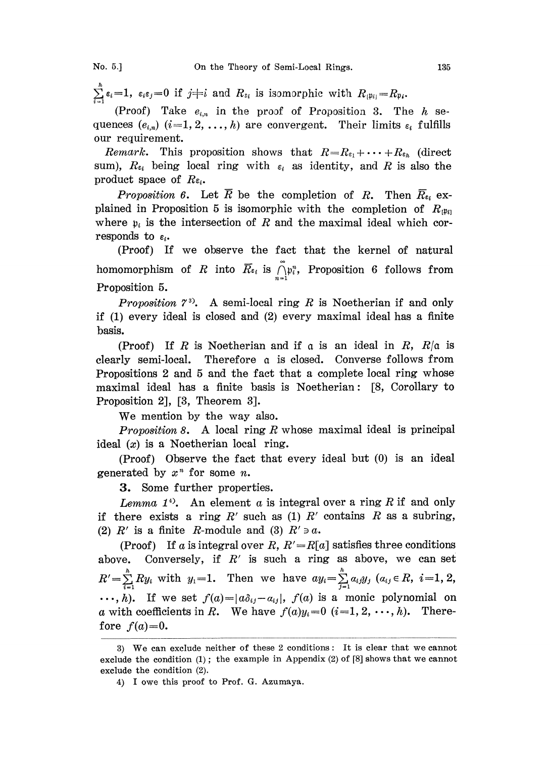$\sum_{i=1}^h \epsilon_i = 1$ ,  $\epsilon_i \epsilon_j = 0$  if  $j \neq i$  and  $R_{s_i}$  is isomorphic with  $R_{\{1\}} = R_{\mathfrak{p}_i}$ .

(Proof) Take  $e_{i,n}$  in the proof of Proposition 3. The  $h$  sequences  $(e_{i,n})$   $(i=1,2,\ldots,h)$  are convergent. Their limits  $\varepsilon_i$  fulfills our requirement.

Remark. This proposition shows that  $R=R_{\epsilon_1}+\cdots+R_{\epsilon_h}$  (direct sum),  $R_{\epsilon_i}$  being local ring with  $\epsilon_i$  as identity, and R is also the product space of  $R_{\epsilon_i}$ .

Proposition 6. Let  $\overline{R}$  be the completion of R. Then  $\overline{R}_{\epsilon_i}$  explained in Proposition 5 is isomorphic with the completion of  $R_{\text{up}}$ where  $p_i$  is the intersection of R and the maximal ideal which corresponds to  $\varepsilon_i$ .

(Proof) If we observe the fact that the kernel of natural homomorphism of R into  $\overline{R}_{\epsilon_i}$  is  $\bigcap_{i=1}^n P_i$ , Proposition 6 follows from Proposition 5.

*Proposition*  $7<sup>3</sup>$ . A semi-local ring R is Noetherian if and only if (1) every ideal is closed and (2) every maximal ideal has a finite basis.

(Proof) If R is Noetherian and if  $\alpha$  is an ideal in R,  $R/\alpha$  is clearly semi-local. Therefore a is closed. Converse follows from Propositions 2 and 5 and the fact that a complete local ring whose maximal ideal has a finite basis is Noetherian: [8, Corollary to Proposition 2], [3, Theorem 3].

We mention by the way also.

*Proposition 8.* A local ring R whose maximal ideal is principal ideal  $(x)$  is a Noetherian local ring.

(Proof) Observe the fact that every ideal but (0) is an ideal generated by  $x^n$  for some *n*.

3. Some further properties.

Lemma  $1^4$ . An element a is integral over a ring R if and only if there exists a ring  $R'$  such as (1)  $R'$  contains  $R$  as a subring, (2)  $R'$  is a finite R-module and (3)  $R' \ni a$ .

(Proof) If a is integral over R,  $R' = R[a]$  satisfies three conditions above. Conversely, if  $R'$  is such a ring as above, we can set  $R' = \sum_{i=1}^{h} Ry_i$  with  $y_1 = 1$ . Then we have  $ay_i = \sum_{j=1}^{h} a_{ij}y_j$   $(a_{ij} \in R, i = 1, 2, ...)$  $\ldots$ , h). If we set  $f(a)=|a\delta_{ij}-a_{ij}|$ ,  $f(a)$  is a monic polynomial on a with coefficients in R. We have  $f(a)y_i=0$   $(i=1, 2, \dots, h)$ . Therefore  $f(a)=0$ .

<sup>3)</sup> We can exclude neither of these <sup>2</sup> conditions: It is clear that we cannot exclude the condition  $(1)$ ; the example in Appendix  $(2)$  of  $[8]$  shows that we cannot exclude the condition (2).

<sup>4)</sup> I owe this proof to Prof. G. Azumaya.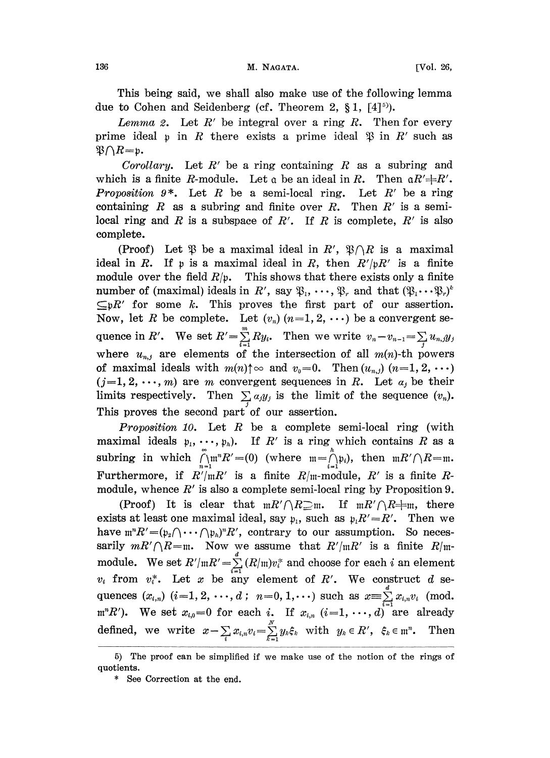This being said, we shall also make use of the following lemma due to Cohen and Seidenberg (cf. Theorem 2,  $\S 1$ ,  $[4]^{5}$ ).

Lemma 2. Let  $R'$  be integral over a ring  $R$ . Then for every prime ideal  $\mathfrak p$  in R there exists a prime ideal  $\mathfrak P$  in R' such as  $\mathfrak{B}\cap R=\mathfrak{p}$ .

Corollary. Let  $R'$  be a ring containing R as a subring and which is a finite R-module. Let  $\alpha$  be an ideal in R. Then  $\alpha R' \neq R'$ . **Proposition 9\*.** Let R be a semi-local ring. Let R' be a ring containing  $R$  as a subring and finite over  $R$ . Then  $R'$  is a semilocal ring and R is a subspace of R'. If R is complete,  $R'$  is also complete.

(Proof) Let  $\mathfrak{P}$  be a maximal ideal in  $R'$ ,  $\mathfrak{P}\cap R$  is a maximal ideal in R. If p is a maximal ideal in R, then  $R'/pR'$  is a finite module over the field  $R/\mathfrak{p}$ . This shows that there exists only a finite number of (maximal) ideals in R', say  $\mathfrak{P}_1, \cdots, \mathfrak{P}_r$  and that  $(\mathfrak{P}_1 \cdots \mathfrak{P}_r)^k$  $\subseteq pR'$  for some k. This proves the first part of our assertion. Now, let R be complete. Let  $(v_n)(n=1, 2, \cdots)$  be a convergent sequence in R'. We set  $R' = \sum_{i=1}^{\infty} R y_i$ . Then we write  $v_n - v_{n-1} = \sum_j u_{n,j} y_j$ where  $u_{n,j}$  are elements of the intersection of all  $m(n)$ -th powers of maximal ideals with  $m(n) \uparrow \infty$  and  $v_0=0$ . Then  $(u_{n,j})$   $(n=1, 2, \cdots)$  $(j=1, 2, \dots, m)$  are m convergent sequences in R. Let  $a_j$  be their limits respectively. Then  $\sum_i a_i y_j$  is the limit of the sequence  $(v_n)$ . This proves the second part of our assertion.

*Proposition 10.* Let R be a complete semi-local ring (with maximal ideals  $p_1, \dots, p_n$ ). If R' is a ring which contains R as a subring in which  $\bigcap_{n=1}^{\infty}$   $R'=(0)$  (where  $\mathfrak{m}=\bigcap_{i=1}^{\infty}$ ), then  $\mathfrak{m}R'/\bigcap R=\mathfrak{m}$ . Furthermore, if  $R'/mR'$  is a finite  $R/m$ -module,  $R'$  is a finite  $R$ module, whence  $R'$  is also a complete semi-local ring by Proposition 9.

(Proof) It is clear that  $mR'/\sqrt{R}$  m. If  $mR'/\sqrt{R}$  m, there exists at least one maximal ideal, say  $p_1$ , such as  $p_1R'=R'$ . Then we have  $\mathfrak{m}^n R' = (\mathfrak{p}_1 \cap \cdots \cap \mathfrak{p}_n)^n R'$ , contrary to our assumption. So necessarily  $mR'/\Lambda R$ =m. Now we assume that  $R'/mR'$  is a finite  $R/m$ module. We set  $R'/\mathfrak{m}R' = \sum_{i=1}^{n} (R/\mathfrak{m})v_i^*$  and choose for each i an element  $v_i$  from  $v_i^*$ . Let x be any element of R'. We construct d sed  $v_i$  from  $v_i^*$ . Let x be any element of R'. We construct d sequences  $(x_{i,n})$   $(i=1, 2, \dots, d; n=0, 1, \dots)$  such as  $x = \sum_{i=1}^d x_{i,n} v_i$  (mod.  $m^nR'$ ). We set  $x_{i,0}=0$  for each i. If  $x_{i,n}$   $(i=1,\ldots,d)$  are already  $\text{defined, we write} \hspace{0.2cm} x - \sum\limits_i x_{i,n} v_i = \sum\limits_{k=1}^N y_k \xi_k \hspace{0.2cm} \text{with} \hspace{0.2cm} y_k \in R', \hspace{0.2cm} \xi_k \in \mathfrak{m}^n. \hspace{0.2cm} \text{Then}$ 

<sup>5)</sup> The proof can be simplified if we make use of the notion of the rings of quotients.

<sup>\*</sup> See Correction at the end.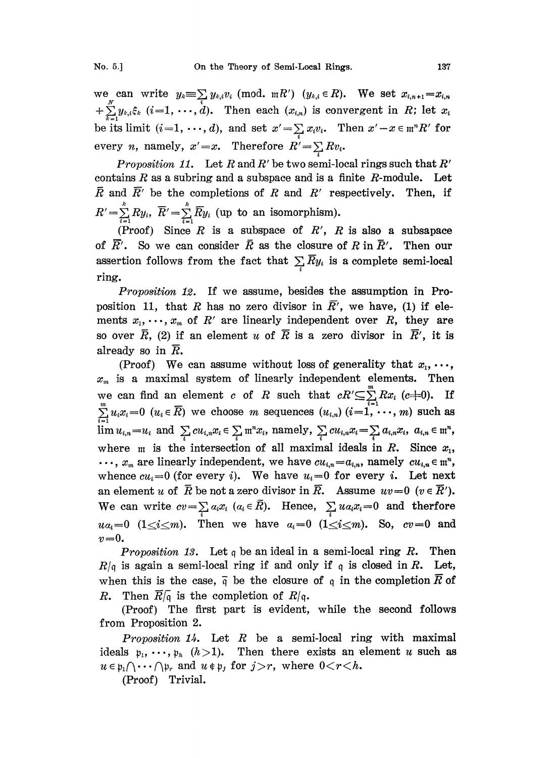we can write  $y_k \equiv \sum_i y_{k,i} v_i \pmod{mR'}$   $(y_{k,i} \in R)$ . We set  $+\sum_{i=1}^{n} y_{k,i} \xi_k$  (i=1, ..., d). Then each  $(x_{i,n})$  is convergent in R; let  $x_i$ be its limit  $(i=1, \dots, d)$ , and set  $x' = \sum x_i v_i$ . Then  $x' - x \in \mathfrak{m}^n R'$  for every *n*, namely,  $x' = x$ . Therefore  $R' = \sum_i Rv_i$ .

Proposition 11. Let R and R' be two semi-local rings such that R' contains  $R$  as a subring and a subspace and is a finite  $R$ -module. Let  $\overline{R}$  and  $\overline{R}'$  be the completions of R and R' respectively. Then, if  $R' = \sum_{i=1}^{k} R y_i$ ,  $\overline{R}' = \sum_{i=1}^{k} \overline{R} y_i$  (up to an isomorphism).

(Proof) Since  $R$  is a subspace of  $R'$ ,  $R$  is also a subsapace of  $\overline{R}'$ . So we can consider  $\overline{R}$  as the closure of R in  $\overline{R}'$ . Then our assertion follows from the fact that  $\sum_i \overline{R} y_i$  is a complete semi-local ring.

Proposition 12. If we assume, besides the assumption in Proposition 11, that R has no zero divisor in  $\overline{R}$ ', we have, (1) if elements  $x_1, \dots, x_m$  of  $R'$  are linearly independent over  $R$ , they are so over  $\bar{R}$ , (2) if an element u of  $\bar{R}$  is a zero divisor in  $\bar{R}'$ , it is already so in  $\overline{R}$ .

(Proof) We can assume without loss of generality that  $x_1, \ldots,$  $x_m$  is a maximal system of linearly independent elements. Then we can find an element c of R such that  $cR' \subseteq \sum_{i=1}^{m}Rx_i$  (c=0). If  $\sum_{i=1}^{m} u_i x_i = 0$   $(u_i \in \overline{R})$  we choose m sequences  $(u_{i,n})$   $(i = 1, \ldots, m)$  such as  $\lim u_{i,n} = u_i$  and  $\sum_i c u_{i,n} x_i \in \sum_i \mathfrak{m}^n x_i$ , namely,  $\sum_i c u_{i,n} x_i = \sum_i a_{i,n} x_i$ ,  $a_{i,n} \in \mathfrak{m}^n$ , where  $m$  is the intersection of all maximal ideals in R. Since  $x_1$ ,  $\ldots$ ,  $x_m$  are linearly independent, we have  $cu_{i,n} = a_{i,n}$ , namely  $cu_{i,n} \in \mathfrak{m}^n$ , whence  $cu_i=0$  (for every i). We have  $u_i=0$  for every i. Let next an element u of  $\overline{R}$  be not a zero divisor in  $\overline{R}$ . Assume  $uv=0$   $(v \in \overline{R}')$ . We can write  $cv=\sum_{i} a_i x_i$  ( $a_i \in \overline{R}$ ). Hence,  $\sum_{i} u a_i x_i = 0$  and therfore  $ua_i=0$  ( $1\leq i\leq m$ ). Then we have  $a_i=0$  ( $1\leq i\leq m$ ). So,  $cv=0$  and  $v=0$ .

*Proposition 13.* Let q be an ideal in a semi-local ring R. Then  $R/\mathfrak{q}$  is again a semi-local ring if and only if  $\mathfrak{q}$  is closed in R. Let, when this is the case,  $\bar{q}$  be the closure of q in the completion  $\bar{R}$  of R. Then  $\overline{R}/\overline{q}$  is the completion of  $R/q$ .

(Proof) The first part is evident, while the second follows from Proposition 2.

*Proposition 14.* Let  $R$  be a semi-local ring with maximal ideals  $p_1, \dots, p_h$   $(h>1)$ . Then there exists an element u such as  $u \in \mathfrak{p}_1 \cap \cdots \cap \mathfrak{p}_r$  and  $u \notin \mathfrak{p}_j$  for  $j > r$ , where  $0 < r < h$ .

(Proof) Trivial.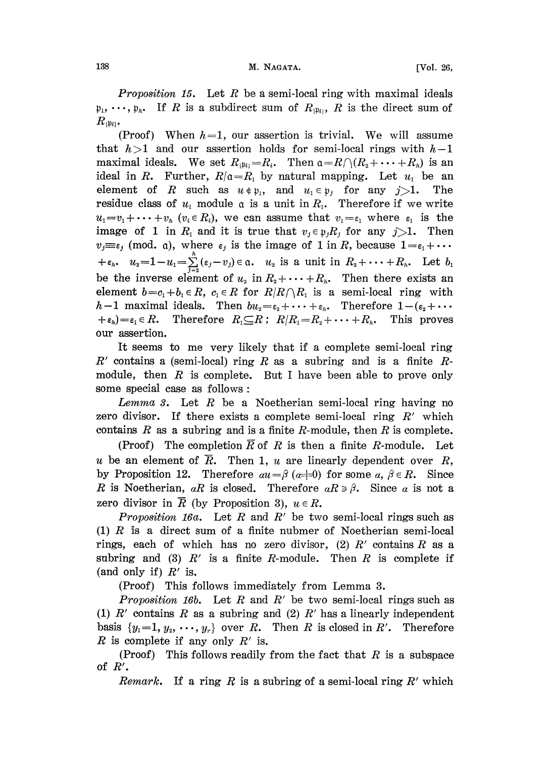**Proposition 15.** Let R be a semi-local ring with maximal ideals  $\mathfrak{p}_1, \dots, \mathfrak{p}_k$ . If R is a subdirect sum of  $R_{\mathfrak{p}_k}$ , R is the direct sum of  $R_{[\mathfrak{p}_{i}]}$ .

(Proof) When  $h=1$ , our assertion is trivial. We will assume that  $h>1$  and our assertion holds for semi-local rings with  $h-1$ maximal ideals. We set  $R_{|\mathfrak{p}_i|=R_i}$ . Then  $\mathfrak{a}=R\cap (R_1+\cdots+R_n)$  is an ideal in R. Further,  $R/\mathfrak{a}=R_1$  by natural mapping. Let  $u_1$  be an element of R such as  $u \notin \mathfrak{p}_1$ , and  $u_1 \in \mathfrak{p}_j$  for any  $j>1$ . The residue class of  $u_1$  module  $\alpha$  is a unit in  $R_1$ . Therefore if we write  $u_1=v_1+\cdots+v_h$   $(v_i\in R_i)$ , we can assume that  $v_1=\varepsilon_1$  where  $\varepsilon_1$  is the image of 1 in  $R_1$  and it is true that  $v_j \in \mathfrak{p}_j R_j$  for any  $j>1$ . Then  $v_j \equiv \varepsilon_j$  (mod. a), where  $\varepsilon_j$  is the image of 1 in R, because  $1 = \varepsilon_1 + \cdots$  $+ \varepsilon_h$ ,  $u_2=1-u_1=\sum_{j=2}^h(\varepsilon_j-v_j)\in\mathfrak{a}$ .  $u_2$  is a unit in  $R_2+\cdots+R_h$ . Let  $b_1$ be the inverse element of  $u_2$  in  $R_2+\cdots+R_h$ . Then there exists an element  $b=c_1+b_1\in R$ ,  $c_1\in R$  for  $R/R\cap R_1$  is a semi-local ring with  $h-1$  maximal ideals. Then  $bu_2=\varepsilon_2+\cdots+\varepsilon_h$ . Therefore  $1-(\varepsilon_2+\cdots$  $+ \varepsilon_h$ )= $\varepsilon_1 \in R$ . Therefore  $R_1 \subseteq R$ ;  $R/R_1 = R_2 + \cdots + R_h$ . This proves our assertion.

It seems to me very likely that if a complete semi-local ring  $R'$  contains a (semi-local) ring R as a subring and is a finite Rmodule, then  $R$  is complete. But I have been able to prove only some special case as follows:

Lemma 3. Let  $R$  be a Noetherian semi-local ring having no zero divisor. If there exists a complete semi-local ring  $R'$  which contains  $R$  as a subring and is a finite  $R$ -module, then  $R$  is complete.

(Proof) The completion  $\overline{R}$  of R is then a finite R-module. Let u be an element of  $\overline{R}$ . Then 1, u are linearly dependent over R, by Proposition 12. Therefore  $au = \beta (a=0)$  for some  $a, \beta \in R$ . Since R is Noetherian, aR is closed. Therefore  $aR \ni \beta$ . Since a is not a zero divisor in  $\overline{R}$  (by Proposition 3),  $u \in R$ .

*Proposition 16a.* Let R and R' be two semi-local rings such as (1)  $R$  is a direct sum of a finite nubmer of Noetherian semi-local rings, each of which has no zero divisor, (2)  $R'$  contains  $R$  as a subring and (3)  $R'$  is a finite R-module. Then R is complete if (and only if)  $R'$  is.

(Proof) This follows immediately from Lemma 3.

*Proposition 16b.* Let R and R' be two semi-local rings such as (1)  $R'$  contains R as a subring and (2)  $R'$  has a linearly independent basis  $\{y_1=1, y_2, \dots, y_r\}$  over R. Then R is closed in R'. Therefore R is complete if any only  $R'$  is.

(Proof) This follows readily from the fact that  $R$  is a subspace of  $R'$ .

*Remark*. If a ring R is a subring of a semi-local ring R' which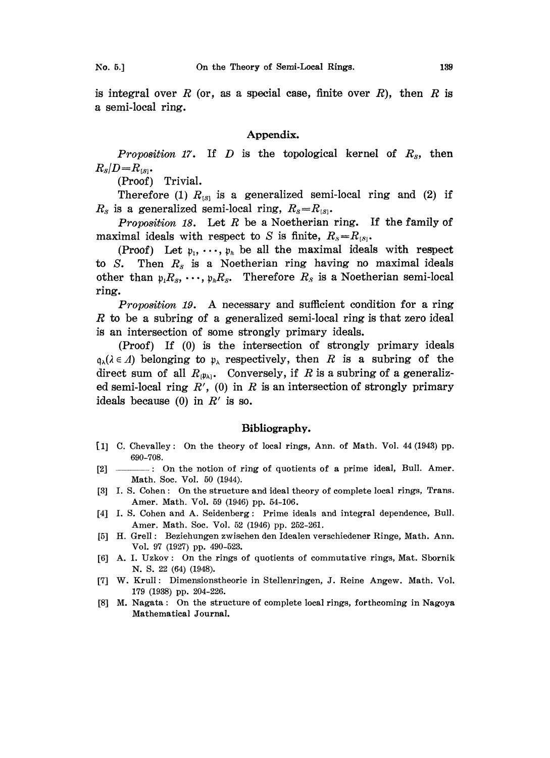is integral over R (or, as a special case, finite over R), then R is a semi-local ring.

## Appendix.

*Proposition 17.* If D is the topological kernel of  $R_s$ , then  $R_{S}/D=R_{[S]}.$ <br>(Proof)

Trivial.

Therefore (1)  $R_{[S]}$  is a generalized semi-local ring and (2) if  $R_s$  is a generalized semi-local ring,  $R_s=R_{ss}$ .

Proposition 18. Let  $R$  be a Noetherian ring. If the family of maximal ideals with respect to S is finite,  $R_s=R_{ss}$ .

(Proof) Let  $p_1, \dots, p_h$  be all the maximal ideals with respect to S. Then  $R_s$  is a Noetherian ring having no maximal ideals other than  $p_1R_s$ , ...,  $p_hR_s$ . Therefore  $R_s$  is a Noetherian semi-local ring.

Proposition 19. A necessary and sufficient condition for a ring R to be a subring of a generalized semi-local ring is that zero ideal is an intersection of some strongly primary ideals.

(Proof) If (0) is the intersection of strongly primary ideals  $q_{\lambda}(\lambda \in \Lambda)$  belonging to  $p_{\lambda}$  respectively, then R is a subring of the direct sum of all  $R_{(\mathfrak{p}_\lambda)}$ . Conversely, if R is a subring of a generalized semi-local ring  $R'$ , (0) in R is an intersection of strongly primary ideals because (0) in  $R'$  is so.

#### Bibliography.

- [1] C. Chevalley: On the theory of local rings, Ann. of Math. Vol. 44 (1948) pp. 690-708.
- [2] \_\_\_\_\_\_\_\_: On the notion of ring of quotients of a prime ideal, Bull. Amer. Math. Soc. Vol. 50 (1944).
- [3] I. S. Cohen: On the structure and ideal theory of complete local rings, Trans. Amer. Math. Vol. 59 (1946) pp. 54-106.
- [4] I. S. Cohen and A. Seidenberg: Prime ideals and integral dependence, Bull. Amer. Math. Soc. Vol. 52 (1946) pp. 252-261.
- [5] H. Grell: Beziehungen zwischen den Idealen verschiedener Ringe, Math. Ann. Vol. 97 (1927) pp. 490-523.
- [6] A. I. Uzkov: On the rings of quotients of commutative rings, Mat. Sbornik N. S. 22 (64) (1948).
- [7] W. Krull: Dimensionstheorie in Stellenringen, J. Reine Angew. Math. Vol. 179 (1938) pp. 204-226.
- [8] M. Nagata: On the structure of complete local rings, forthcoming in Nagoya Mathematical Journal.